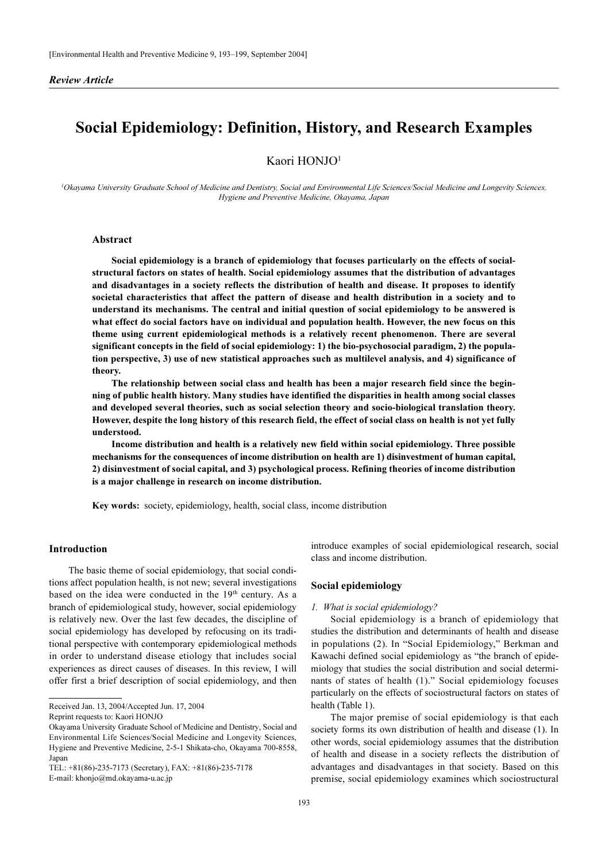# Social Epidemiology: Definition, History, and Research Examples

Kaori HONJO<sup>1</sup>

<sup>1</sup>Okayama University Graduate School of Medicine and Dentistry, Social and Environmental Life Sciences/Social Medicine and Longevity Sciences, Hygiene and Preventive Medicine, Okayama, Japan

## Abstract

Social epidemiology is a branch of epidemiology that focuses particularly on the effects of socialstructural factors on states of health. Social epidemiology assumes that the distribution of advantages and disadvantages in a society reflects the distribution of health and disease. It proposes to identify societal characteristics that affect the pattern of disease and health distribution in a society and to understand its mechanisms. The central and initial question of social epidemiology to be answered is what effect do social factors have on individual and population health. However, the new focus on this theme using current epidemiological methods is a relatively recent phenomenon. There are several significant concepts in the field of social epidemiology: 1) the bio-psychosocial paradigm, 2) the population perspective, 3) use of new statistical approaches such as multilevel analysis, and 4) significance of theory.

The relationship between social class and health has been a major research field since the beginning of public health history. Many studies have identified the disparities in health among social classes and developed several theories, such as social selection theory and socio-biological translation theory. However, despite the long history of this research field, the effect of social class on health is not yet fully understood.

Income distribution and health is a relatively new field within social epidemiology. Three possible mechanisms for the consequences of income distribution on health are 1) disinvestment of human capital, 2) disinvestment of social capital, and 3) psychological process. Refining theories of income distribution is a major challenge in research on income distribution.

Key words: society, epidemiology, health, social class, income distribution

## Introduction

The basic theme of social epidemiology, that social conditions affect population health, is not new; several investigations based on the idea were conducted in the 19<sup>th</sup> century. As a branch of epidemiological study, however, social epidemiology is relatively new. Over the last few decades, the discipline of social epidemiology has developed by refocusing on its traditional perspective with contemporary epidemiological methods in order to understand disease etiology that includes social experiences as direct causes of diseases. In this review, I will offer first a brief description of social epidemiology, and then

E-mail: khonjo@md.okayama-u.ac.jp

introduce examples of social epidemiological research, social class and income distribution.

## Social epidemiology

#### 1. What is social epidemiology?

Social epidemiology is a branch of epidemiology that studies the distribution and determinants of health and disease in populations (2). In "Social Epidemiology," Berkman and Kawachi defined social epidemiology as "the branch of epidemiology that studies the social distribution and social determinants of states of health (1)." Social epidemiology focuses particularly on the effects of sociostructural factors on states of health (Table 1).

The major premise of social epidemiology is that each society forms its own distribution of health and disease (1). In other words, social epidemiology assumes that the distribution of health and disease in a society reflects the distribution of advantages and disadvantages in that society. Based on this premise, social epidemiology examines which sociostructural

Received Jan. 13, 2004/Accepted Jun. 17, 2004

Reprint requests to: Kaori HONJO

Okayama University Graduate School of Medicine and Dentistry, Social and Environmental Life Sciences/Social Medicine and Longevity Sciences, Hygiene and Preventive Medicine, 2-5-1 Shikata-cho, Okayama 700-8558, Japan

TEL: +81(86)-235-7173 (Secretary), FAX: +81(86)-235-7178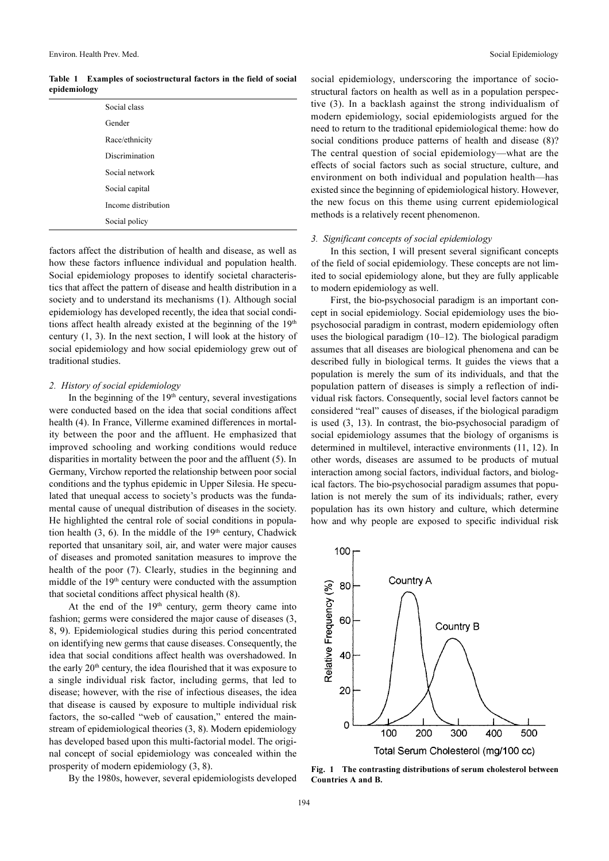Table 1 Examples of sociostructural factors in the field of social epidemiology

| Social class        |
|---------------------|
| Gender              |
| Race/ethnicity      |
| Discrimination      |
| Social network      |
| Social capital      |
| Income distribution |
| Social policy       |
|                     |

factors affect the distribution of health and disease, as well as how these factors influence individual and population health. Social epidemiology proposes to identify societal characteristics that affect the pattern of disease and health distribution in a society and to understand its mechanisms (1). Although social epidemiology has developed recently, the idea that social conditions affect health already existed at the beginning of the 19th century (1, 3). In the next section, I will look at the history of social epidemiology and how social epidemiology grew out of traditional studies.

#### 2. History of social epidemiology

In the beginning of the  $19<sup>th</sup>$  century, several investigations were conducted based on the idea that social conditions affect health (4). In France, Villerme examined differences in mortality between the poor and the affluent. He emphasized that improved schooling and working conditions would reduce disparities in mortality between the poor and the affluent (5). In Germany, Virchow reported the relationship between poor social conditions and the typhus epidemic in Upper Silesia. He speculated that unequal access to society's products was the fundamental cause of unequal distribution of diseases in the society. He highlighted the central role of social conditions in population health  $(3, 6)$ . In the middle of the 19<sup>th</sup> century, Chadwick reported that unsanitary soil, air, and water were major causes of diseases and promoted sanitation measures to improve the health of the poor (7). Clearly, studies in the beginning and middle of the 19th century were conducted with the assumption that societal conditions affect physical health (8).

At the end of the 19<sup>th</sup> century, germ theory came into fashion; germs were considered the major cause of diseases (3, 8, 9). Epidemiological studies during this period concentrated on identifying new germs that cause diseases. Consequently, the idea that social conditions affect health was overshadowed. In the early  $20<sup>th</sup>$  century, the idea flourished that it was exposure to a single individual risk factor, including germs, that led to disease; however, with the rise of infectious diseases, the idea that disease is caused by exposure to multiple individual risk factors, the so-called "web of causation," entered the mainstream of epidemiological theories (3, 8). Modern epidemiology has developed based upon this multi-factorial model. The original concept of social epidemiology was concealed within the prosperity of modern epidemiology (3, 8).

By the 1980s, however, several epidemiologists developed

social epidemiology, underscoring the importance of sociostructural factors on health as well as in a population perspective (3). In a backlash against the strong individualism of modern epidemiology, social epidemiologists argued for the need to return to the traditional epidemiological theme: how do social conditions produce patterns of health and disease (8)? The central question of social epidemiology—what are the effects of social factors such as social structure, culture, and environment on both individual and population health—has existed since the beginning of epidemiological history. However, the new focus on this theme using current epidemiological methods is a relatively recent phenomenon.

#### 3. Significant concepts of social epidemiology

In this section, I will present several significant concepts of the field of social epidemiology. These concepts are not limited to social epidemiology alone, but they are fully applicable to modern epidemiology as well.

First, the bio-psychosocial paradigm is an important concept in social epidemiology. Social epidemiology uses the biopsychosocial paradigm in contrast, modern epidemiology often uses the biological paradigm (10–12). The biological paradigm assumes that all diseases are biological phenomena and can be described fully in biological terms. It guides the views that a population is merely the sum of its individuals, and that the population pattern of diseases is simply a reflection of individual risk factors. Consequently, social level factors cannot be considered "real" causes of diseases, if the biological paradigm is used (3, 13). In contrast, the bio-psychosocial paradigm of social epidemiology assumes that the biology of organisms is determined in multilevel, interactive environments (11, 12). In other words, diseases are assumed to be products of mutual interaction among social factors, individual factors, and biological factors. The bio-psychosocial paradigm assumes that population is not merely the sum of its individuals; rather, every population has its own history and culture, which determine how and why people are exposed to specific individual risk



Fig. 1 The contrasting distributions of serum cholesterol between Countries A and B.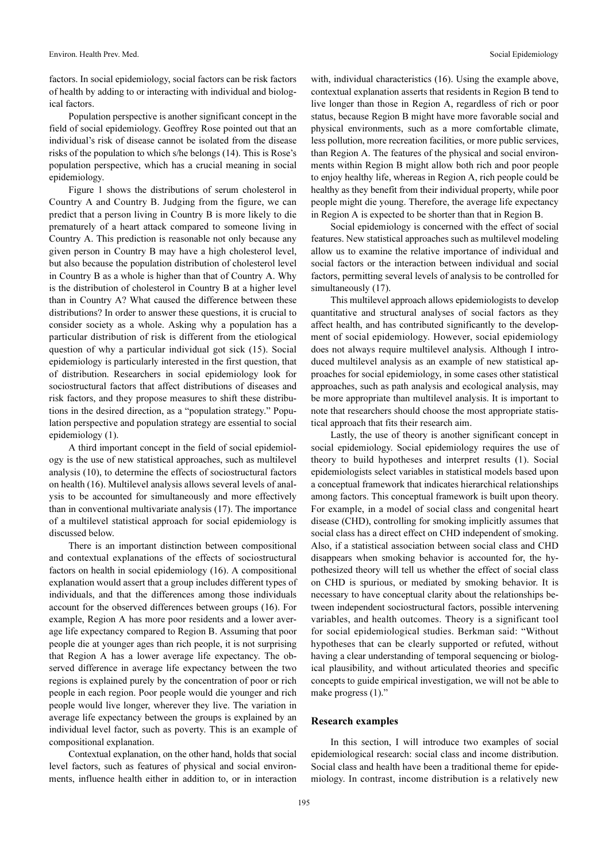factors. In social epidemiology, social factors can be risk factors of health by adding to or interacting with individual and biological factors.

Population perspective is another significant concept in the field of social epidemiology. Geoffrey Rose pointed out that an individual's risk of disease cannot be isolated from the disease risks of the population to which s/he belongs (14). This is Rose's population perspective, which has a crucial meaning in social epidemiology.

Figure 1 shows the distributions of serum cholesterol in Country A and Country B. Judging from the figure, we can predict that a person living in Country B is more likely to die prematurely of a heart attack compared to someone living in Country A. This prediction is reasonable not only because any given person in Country B may have a high cholesterol level, but also because the population distribution of cholesterol level in Country B as a whole is higher than that of Country A. Why is the distribution of cholesterol in Country B at a higher level than in Country A? What caused the difference between these distributions? In order to answer these questions, it is crucial to consider society as a whole. Asking why a population has a particular distribution of risk is different from the etiological question of why a particular individual got sick (15). Social epidemiology is particularly interested in the first question, that of distribution. Researchers in social epidemiology look for sociostructural factors that affect distributions of diseases and risk factors, and they propose measures to shift these distributions in the desired direction, as a "population strategy." Population perspective and population strategy are essential to social epidemiology (1).

A third important concept in the field of social epidemiology is the use of new statistical approaches, such as multilevel analysis (10), to determine the effects of sociostructural factors on health (16). Multilevel analysis allows several levels of analysis to be accounted for simultaneously and more effectively than in conventional multivariate analysis (17). The importance of a multilevel statistical approach for social epidemiology is discussed below.

There is an important distinction between compositional and contextual explanations of the effects of sociostructural factors on health in social epidemiology (16). A compositional explanation would assert that a group includes different types of individuals, and that the differences among those individuals account for the observed differences between groups (16). For example, Region A has more poor residents and a lower average life expectancy compared to Region B. Assuming that poor people die at younger ages than rich people, it is not surprising that Region A has a lower average life expectancy. The observed difference in average life expectancy between the two regions is explained purely by the concentration of poor or rich people in each region. Poor people would die younger and rich people would live longer, wherever they live. The variation in average life expectancy between the groups is explained by an individual level factor, such as poverty. This is an example of compositional explanation.

Contextual explanation, on the other hand, holds that social level factors, such as features of physical and social environments, influence health either in addition to, or in interaction with, individual characteristics (16). Using the example above, contextual explanation asserts that residents in Region B tend to live longer than those in Region A, regardless of rich or poor status, because Region B might have more favorable social and physical environments, such as a more comfortable climate, less pollution, more recreation facilities, or more public services, than Region A. The features of the physical and social environments within Region B might allow both rich and poor people to enjoy healthy life, whereas in Region A, rich people could be healthy as they benefit from their individual property, while poor people might die young. Therefore, the average life expectancy in Region A is expected to be shorter than that in Region B.

Social epidemiology is concerned with the effect of social features. New statistical approaches such as multilevel modeling allow us to examine the relative importance of individual and social factors or the interaction between individual and social factors, permitting several levels of analysis to be controlled for simultaneously (17).

This multilevel approach allows epidemiologists to develop quantitative and structural analyses of social factors as they affect health, and has contributed significantly to the development of social epidemiology. However, social epidemiology does not always require multilevel analysis. Although I introduced multilevel analysis as an example of new statistical approaches for social epidemiology, in some cases other statistical approaches, such as path analysis and ecological analysis, may be more appropriate than multilevel analysis. It is important to note that researchers should choose the most appropriate statistical approach that fits their research aim.

Lastly, the use of theory is another significant concept in social epidemiology. Social epidemiology requires the use of theory to build hypotheses and interpret results (1). Social epidemiologists select variables in statistical models based upon a conceptual framework that indicates hierarchical relationships among factors. This conceptual framework is built upon theory. For example, in a model of social class and congenital heart disease (CHD), controlling for smoking implicitly assumes that social class has a direct effect on CHD independent of smoking. Also, if a statistical association between social class and CHD disappears when smoking behavior is accounted for, the hypothesized theory will tell us whether the effect of social class on CHD is spurious, or mediated by smoking behavior. It is necessary to have conceptual clarity about the relationships between independent sociostructural factors, possible intervening variables, and health outcomes. Theory is a significant tool for social epidemiological studies. Berkman said: "Without hypotheses that can be clearly supported or refuted, without having a clear understanding of temporal sequencing or biological plausibility, and without articulated theories and specific concepts to guide empirical investigation, we will not be able to make progress (1)."

## Research examples

In this section, I will introduce two examples of social epidemiological research: social class and income distribution. Social class and health have been a traditional theme for epidemiology. In contrast, income distribution is a relatively new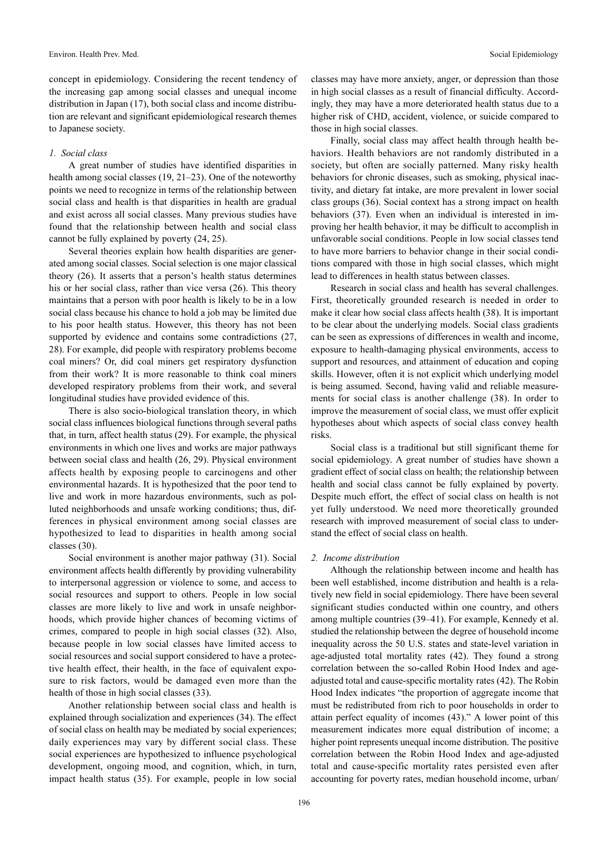concept in epidemiology. Considering the recent tendency of the increasing gap among social classes and unequal income distribution in Japan (17), both social class and income distribution are relevant and significant epidemiological research themes to Japanese society.

#### 1. Social class

A great number of studies have identified disparities in health among social classes (19, 21–23). One of the noteworthy points we need to recognize in terms of the relationship between social class and health is that disparities in health are gradual and exist across all social classes. Many previous studies have found that the relationship between health and social class cannot be fully explained by poverty (24, 25).

Several theories explain how health disparities are generated among social classes. Social selection is one major classical theory (26). It asserts that a person's health status determines his or her social class, rather than vice versa (26). This theory maintains that a person with poor health is likely to be in a low social class because his chance to hold a job may be limited due to his poor health status. However, this theory has not been supported by evidence and contains some contradictions  $(27, 17)$ 28). For example, did people with respiratory problems become coal miners? Or, did coal miners get respiratory dysfunction from their work? It is more reasonable to think coal miners developed respiratory problems from their work, and several longitudinal studies have provided evidence of this.

There is also socio-biological translation theory, in which social class influences biological functions through several paths that, in turn, affect health status (29). For example, the physical environments in which one lives and works are major pathways between social class and health (26, 29). Physical environment affects health by exposing people to carcinogens and other environmental hazards. It is hypothesized that the poor tend to live and work in more hazardous environments, such as polluted neighborhoods and unsafe working conditions; thus, differences in physical environment among social classes are hypothesized to lead to disparities in health among social classes (30).

Social environment is another major pathway (31). Social environment affects health differently by providing vulnerability to interpersonal aggression or violence to some, and access to social resources and support to others. People in low social classes are more likely to live and work in unsafe neighborhoods, which provide higher chances of becoming victims of crimes, compared to people in high social classes (32). Also, because people in low social classes have limited access to social resources and social support considered to have a protective health effect, their health, in the face of equivalent exposure to risk factors, would be damaged even more than the health of those in high social classes (33).

Another relationship between social class and health is explained through socialization and experiences (34). The effect of social class on health may be mediated by social experiences; daily experiences may vary by different social class. These social experiences are hypothesized to influence psychological development, ongoing mood, and cognition, which, in turn, impact health status (35). For example, people in low social classes may have more anxiety, anger, or depression than those in high social classes as a result of financial difficulty. Accordingly, they may have a more deteriorated health status due to a higher risk of CHD, accident, violence, or suicide compared to those in high social classes.

Finally, social class may affect health through health behaviors. Health behaviors are not randomly distributed in a society, but often are socially patterned. Many risky health behaviors for chronic diseases, such as smoking, physical inactivity, and dietary fat intake, are more prevalent in lower social class groups (36). Social context has a strong impact on health behaviors (37). Even when an individual is interested in improving her health behavior, it may be difficult to accomplish in unfavorable social conditions. People in low social classes tend to have more barriers to behavior change in their social conditions compared with those in high social classes, which might lead to differences in health status between classes.

Research in social class and health has several challenges. First, theoretically grounded research is needed in order to make it clear how social class affects health (38). It is important to be clear about the underlying models. Social class gradients can be seen as expressions of differences in wealth and income, exposure to health-damaging physical environments, access to support and resources, and attainment of education and coping skills. However, often it is not explicit which underlying model is being assumed. Second, having valid and reliable measurements for social class is another challenge (38). In order to improve the measurement of social class, we must offer explicit hypotheses about which aspects of social class convey health risks.

Social class is a traditional but still significant theme for social epidemiology. A great number of studies have shown a gradient effect of social class on health; the relationship between health and social class cannot be fully explained by poverty. Despite much effort, the effect of social class on health is not yet fully understood. We need more theoretically grounded research with improved measurement of social class to understand the effect of social class on health.

## 2. Income distribution

Although the relationship between income and health has been well established, income distribution and health is a relatively new field in social epidemiology. There have been several significant studies conducted within one country, and others among multiple countries (39–41). For example, Kennedy et al. studied the relationship between the degree of household income inequality across the 50 U.S. states and state-level variation in age-adjusted total mortality rates (42). They found a strong correlation between the so-called Robin Hood Index and ageadjusted total and cause-specific mortality rates (42). The Robin Hood Index indicates "the proportion of aggregate income that must be redistributed from rich to poor households in order to attain perfect equality of incomes (43)." A lower point of this measurement indicates more equal distribution of income; a higher point represents unequal income distribution. The positive correlation between the Robin Hood Index and age-adjusted total and cause-specific mortality rates persisted even after accounting for poverty rates, median household income, urban/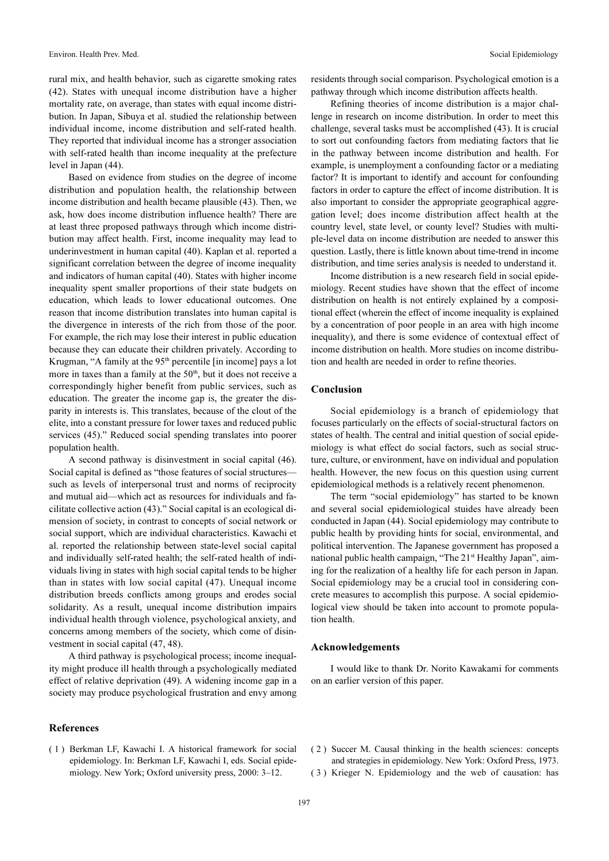rural mix, and health behavior, such as cigarette smoking rates (42). States with unequal income distribution have a higher mortality rate, on average, than states with equal income distribution. In Japan, Sibuya et al. studied the relationship between individual income, income distribution and self-rated health. They reported that individual income has a stronger association with self-rated health than income inequality at the prefecture level in Japan (44).

Based on evidence from studies on the degree of income distribution and population health, the relationship between income distribution and health became plausible (43). Then, we ask, how does income distribution influence health? There are at least three proposed pathways through which income distribution may affect health. First, income inequality may lead to underinvestment in human capital (40). Kaplan et al. reported a significant correlation between the degree of income inequality and indicators of human capital (40). States with higher income inequality spent smaller proportions of their state budgets on education, which leads to lower educational outcomes. One reason that income distribution translates into human capital is the divergence in interests of the rich from those of the poor. For example, the rich may lose their interest in public education because they can educate their children privately. According to Krugman, "A family at the 95<sup>th</sup> percentile [in income] pays a lot more in taxes than a family at the 50<sup>th</sup>, but it does not receive a correspondingly higher benefit from public services, such as education. The greater the income gap is, the greater the disparity in interests is. This translates, because of the clout of the elite, into a constant pressure for lower taxes and reduced public services (45)." Reduced social spending translates into poorer population health.

A second pathway is disinvestment in social capital (46). Social capital is defined as "those features of social structures such as levels of interpersonal trust and norms of reciprocity and mutual aid—which act as resources for individuals and facilitate collective action (43)." Social capital is an ecological dimension of society, in contrast to concepts of social network or social support, which are individual characteristics. Kawachi et al. reported the relationship between state-level social capital and individually self-rated health; the self-rated health of individuals living in states with high social capital tends to be higher than in states with low social capital (47). Unequal income distribution breeds conflicts among groups and erodes social solidarity. As a result, unequal income distribution impairs individual health through violence, psychological anxiety, and concerns among members of the society, which come of disinvestment in social capital (47, 48).

A third pathway is psychological process; income inequality might produce ill health through a psychologically mediated effect of relative deprivation (49). A widening income gap in a society may produce psychological frustration and envy among

#### References

( 1 ) Berkman LF, Kawachi I. A historical framework for social epidemiology. In: Berkman LF, Kawachi I, eds. Social epidemiology. New York; Oxford university press, 2000: 3–12.

residents through social comparison. Psychological emotion is a pathway through which income distribution affects health.

Refining theories of income distribution is a major challenge in research on income distribution. In order to meet this challenge, several tasks must be accomplished (43). It is crucial to sort out confounding factors from mediating factors that lie in the pathway between income distribution and health. For example, is unemployment a confounding factor or a mediating factor? It is important to identify and account for confounding factors in order to capture the effect of income distribution. It is also important to consider the appropriate geographical aggregation level; does income distribution affect health at the country level, state level, or county level? Studies with multiple-level data on income distribution are needed to answer this question. Lastly, there is little known about time-trend in income distribution, and time series analysis is needed to understand it.

Income distribution is a new research field in social epidemiology. Recent studies have shown that the effect of income distribution on health is not entirely explained by a compositional effect (wherein the effect of income inequality is explained by a concentration of poor people in an area with high income inequality), and there is some evidence of contextual effect of income distribution on health. More studies on income distribution and health are needed in order to refine theories.

## Conclusion

Social epidemiology is a branch of epidemiology that focuses particularly on the effects of social-structural factors on states of health. The central and initial question of social epidemiology is what effect do social factors, such as social structure, culture, or environment, have on individual and population health. However, the new focus on this question using current epidemiological methods is a relatively recent phenomenon.

The term "social epidemiology" has started to be known and several social epidemiological stuides have already been conducted in Japan (44). Social epidemiology may contribute to public health by providing hints for social, environmental, and political intervention. The Japanese government has proposed a national public health campaign, "The 21<sup>st</sup> Healthy Japan", aiming for the realization of a healthy life for each person in Japan. Social epidemiology may be a crucial tool in considering concrete measures to accomplish this purpose. A social epidemiological view should be taken into account to promote population health.

#### Acknowledgements

I would like to thank Dr. Norito Kawakami for comments on an earlier version of this paper.

- ( 2 ) Succer M. Causal thinking in the health sciences: concepts and strategies in epidemiology. New York: Oxford Press, 1973.
- ( 3 ) Krieger N. Epidemiology and the web of causation: has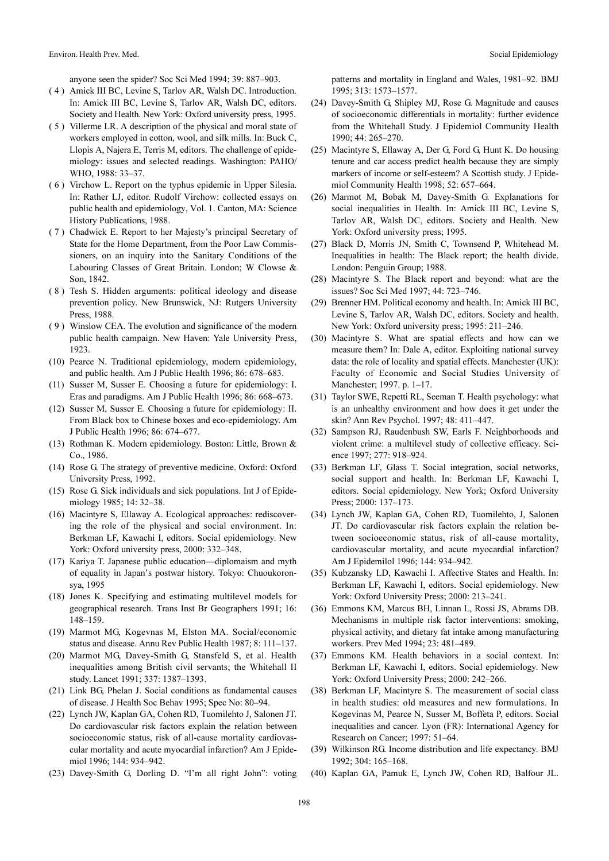anyone seen the spider? Soc Sci Med 1994; 39: 887–903.

- ( 4 ) Amick III BC, Levine S, Tarlov AR, Walsh DC. Introduction. In: Amick III BC, Levine S, Tarlov AR, Walsh DC, editors. Society and Health. New York: Oxford university press, 1995.
- ( 5 ) Villerme LR. A description of the physical and moral state of workers employed in cotton, wool, and silk mills. In: Buck C, Llopis A, Najera E, Terris M, editors. The challenge of epidemiology: issues and selected readings. Washington: PAHO/ WHO, 1988: 33–37.
- ( 6 ) Virchow L. Report on the typhus epidemic in Upper Silesia. In: Rather LJ, editor. Rudolf Virchow: collected essays on public health and epidemiology, Vol. 1. Canton, MA: Science History Publications, 1988.
- ( 7 ) Chadwick E. Report to her Majesty's principal Secretary of State for the Home Department, from the Poor Law Commissioners, on an inquiry into the Sanitary Conditions of the Labouring Classes of Great Britain. London; W Clowse & Son, 1842.
- ( 8 ) Tesh S. Hidden arguments: political ideology and disease prevention policy. New Brunswick, NJ: Rutgers University Press, 1988.
- ( 9 ) Winslow CEA. The evolution and significance of the modern public health campaign. New Haven: Yale University Press, 1923.
- (10) Pearce N. Traditional epidemiology, modern epidemiology, and public health. Am J Public Health 1996; 86: 678–683.
- (11) Susser M, Susser E. Choosing a future for epidemiology: I. Eras and paradigms. Am J Public Health 1996; 86: 668–673.
- (12) Susser M, Susser E. Choosing a future for epidemiology: II. From Black box to Chinese boxes and eco-epidemiology. Am J Public Health 1996; 86: 674–677.
- (13) Rothman K. Modern epidemiology. Boston: Little, Brown & Co., 1986.
- (14) Rose G. The strategy of preventive medicine. Oxford: Oxford University Press, 1992.
- (15) Rose G. Sick individuals and sick populations. Int J of Epidemiology 1985; 14: 32–38.
- (16) Macintyre S, Ellaway A. Ecological approaches: rediscovering the role of the physical and social environment. In: Berkman LF, Kawachi I, editors. Social epidemiology. New York: Oxford university press, 2000: 332–348.
- (17) Kariya T. Japanese public education—diplomaism and myth of equality in Japan's postwar history. Tokyo: Chuoukoronsya, 1995
- (18) Jones K. Specifying and estimating multilevel models for geographical research. Trans Inst Br Geographers 1991; 16: 148–159.
- (19) Marmot MG, Kogevnas M, Elston MA. Social/economic status and disease. Annu Rev Public Health 1987; 8: 111–137.
- (20) Marmot MG, Davey-Smith G, Stansfeld S, et al. Health inequalities among British civil servants; the Whitehall II study. Lancet 1991; 337: 1387–1393.
- (21) Link BG, Phelan J. Social conditions as fundamental causes of disease. J Health Soc Behav 1995; Spec No: 80–94.
- (22) Lynch JW, Kaplan GA, Cohen RD, Tuomilehto J, Salonen JT. Do cardiovascular risk factors explain the relation between socioeconomic status, risk of all-cause mortality cardiovascular mortality and acute myocardial infarction? Am J Epidemiol 1996; 144: 934–942.
- (23) Davey-Smith G, Dorling D. "I'm all right John": voting

patterns and mortality in England and Wales, 1981–92. BMJ 1995; 313: 1573–1577.

- (24) Davey-Smith G, Shipley MJ, Rose G. Magnitude and causes of socioeconomic differentials in mortality: further evidence from the Whitehall Study. J Epidemiol Community Health 1990; 44: 265–270.
- (25) Macintyre S, Ellaway A, Der G, Ford G, Hunt K. Do housing tenure and car access predict health because they are simply markers of income or self-esteem? A Scottish study. J Epidemiol Community Health 1998; 52: 657–664.
- (26) Marmot M, Bobak M, Davey-Smith G. Explanations for social inequalities in Health. In: Amick III BC, Levine S, Tarlov AR, Walsh DC, editors. Society and Health. New York: Oxford university press; 1995.
- (27) Black D, Morris JN, Smith C, Townsend P, Whitehead M. Inequalities in health: The Black report; the health divide. London: Penguin Group; 1988.
- (28) Macintyre S. The Black report and beyond: what are the issues? Soc Sci Med 1997; 44: 723–746.
- (29) Brenner HM. Political economy and health. In: Amick III BC, Levine S, Tarlov AR, Walsh DC, editors. Society and health. New York: Oxford university press; 1995: 211–246.
- (30) Macintyre S. What are spatial effects and how can we measure them? In: Dale A, editor. Exploiting national survey data: the role of locality and spatial effects. Manchester (UK): Faculty of Economic and Social Studies University of Manchester; 1997. p. 1–17.
- (31) Taylor SWE, Repetti RL, Seeman T. Health psychology: what is an unhealthy environment and how does it get under the skin? Ann Rev Psychol. 1997; 48: 411–447.
- (32) Sampson RJ, Raudenbush SW, Earls F. Neighborhoods and violent crime: a multilevel study of collective efficacy. Science 1997; 277: 918–924.
- (33) Berkman LF, Glass T. Social integration, social networks, social support and health. In: Berkman LF, Kawachi I, editors. Social epidemiology. New York; Oxford University Press; 2000: 137–173.
- (34) Lynch JW, Kaplan GA, Cohen RD, Tuomilehto, J, Salonen JT. Do cardiovascular risk factors explain the relation between socioeconomic status, risk of all-cause mortality, cardiovascular mortality, and acute myocardial infarction? Am J Epidemilol 1996; 144: 934–942.
- (35) Kubzansky LD, Kawachi I. Affective States and Health. In: Berkman LF, Kawachi I, editors. Social epidemiology. New York: Oxford University Press; 2000: 213–241.
- (36) Emmons KM, Marcus BH, Linnan L, Rossi JS, Abrams DB. Mechanisms in multiple risk factor interventions: smoking, physical activity, and dietary fat intake among manufacturing workers. Prev Med 1994; 23: 481–489.
- (37) Emmons KM. Health behaviors in a social context. In: Berkman LF, Kawachi I, editors. Social epidemiology. New York: Oxford University Press; 2000: 242–266.
- (38) Berkman LF, Macintyre S. The measurement of social class in health studies: old measures and new formulations. In Kogevinas M, Pearce N, Susser M, Boffeta P, editors. Social inequalities and cancer. Lyon (FR): International Agency for Research on Cancer; 1997: 51–64.
- (39) Wilkinson RG. Income distribution and life expectancy. BMJ 1992; 304: 165–168.
- (40) Kaplan GA, Pamuk E, Lynch JW, Cohen RD, Balfour JL.